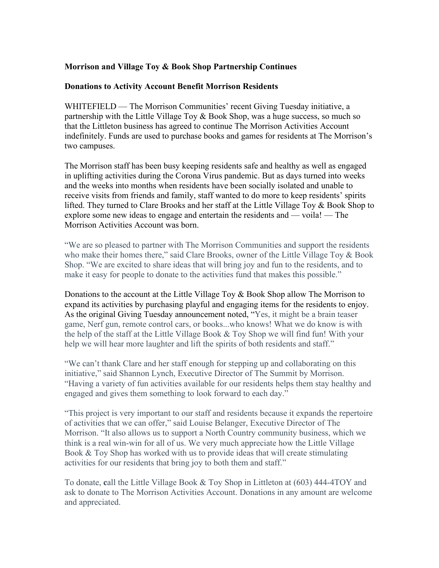## **Morrison and Village Toy & Book Shop Partnership Continues**

## **Donations to Activity Account Benefit Morrison Residents**

WHITEFIELD — The Morrison Communities' recent Giving Tuesday initiative, a partnership with the Little Village Toy & Book Shop, was a huge success, so much so that the Littleton business has agreed to continue The Morrison Activities Account indefinitely. Funds are used to purchase books and games for residents at The Morrison's two campuses.

The Morrison staff has been busy keeping residents safe and healthy as well as engaged in uplifting activities during the Corona Virus pandemic. But as days turned into weeks and the weeks into months when residents have been socially isolated and unable to receive visits from friends and family, staff wanted to do more to keep residents' spirits lifted. They turned to Clare Brooks and her staff at the Little Village Toy & Book Shop to explore some new ideas to engage and entertain the residents and — voila! — The Morrison Activities Account was born.

"We are so pleased to partner with The Morrison Communities and support the residents who make their homes there," said Clare Brooks, owner of the Little Village Toy & Book Shop. "We are excited to share ideas that will bring joy and fun to the residents, and to make it easy for people to donate to the activities fund that makes this possible."

Donations to the account at the Little Village Toy & Book Shop allow The Morrison to expand its activities by purchasing playful and engaging items for the residents to enjoy. As the original Giving Tuesday announcement noted, "Yes, it might be a brain teaser game, Nerf gun, remote control cars, or books...who knows! What we do know is with the help of the staff at the Little Village Book & Toy Shop we will find fun! With your help we will hear more laughter and lift the spirits of both residents and staff."

"We can't thank Clare and her staff enough for stepping up and collaborating on this initiative," said Shannon Lynch, Executive Director of The Summit by Morrison. "Having a variety of fun activities available for our residents helps them stay healthy and engaged and gives them something to look forward to each day."

"This project is very important to our staff and residents because it expands the repertoire of activities that we can offer," said Louise Belanger, Executive Director of The Morrison. "It also allows us to support a North Country community business, which we think is a real win-win for all of us. We very much appreciate how the Little Village Book & Toy Shop has worked with us to provide ideas that will create stimulating activities for our residents that bring joy to both them and staff."

To donate, **c**all the Little Village Book & Toy Shop in Littleton at (603) 444-4TOY and ask to donate to The Morrison Activities Account. Donations in any amount are welcome and appreciated.